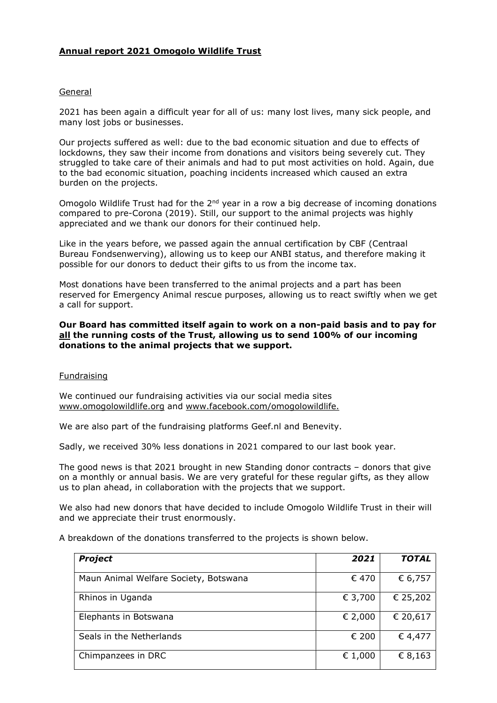# Annual report 2021 Omogolo Wildlife Trust

#### General

2021 has been again a difficult year for all of us: many lost lives, many sick people, and many lost jobs or businesses.

Our projects suffered as well: due to the bad economic situation and due to effects of lockdowns, they saw their income from donations and visitors being severely cut. They struggled to take care of their animals and had to put most activities on hold. Again, due to the bad economic situation, poaching incidents increased which caused an extra burden on the projects.

Omogolo Wildlife Trust had for the  $2<sup>nd</sup>$  year in a row a big decrease of incoming donations compared to pre-Corona (2019). Still, our support to the animal projects was highly appreciated and we thank our donors for their continued help.

Like in the years before, we passed again the annual certification by CBF (Centraal Bureau Fondsenwerving), allowing us to keep our ANBI status, and therefore making it possible for our donors to deduct their gifts to us from the income tax.

Most donations have been transferred to the animal projects and a part has been reserved for Emergency Animal rescue purposes, allowing us to react swiftly when we get a call for support.

### Our Board has committed itself again to work on a non-paid basis and to pay for all the running costs of the Trust, allowing us to send 100% of our incoming donations to the animal projects that we support.

### Fundraising

We continued our fundraising activities via our social media sites www.omogolowildlife.org and www.facebook.com/omogolowildlife.

We are also part of the fundraising platforms Geef.nl and Benevity.

Sadly, we received 30% less donations in 2021 compared to our last book year.

The good news is that 2021 brought in new Standing donor contracts – donors that give on a monthly or annual basis. We are very grateful for these regular gifts, as they allow us to plan ahead, in collaboration with the projects that we support.

We also had new donors that have decided to include Omogolo Wildlife Trust in their will and we appreciate their trust enormously.

A breakdown of the donations transferred to the projects is shown below.

| <b>Project</b>                        | 2021    | <b>TOTAL</b> |
|---------------------------------------|---------|--------------|
| Maun Animal Welfare Society, Botswana | € 470   | € 6,757      |
| Rhinos in Uganda                      | € 3,700 | € 25,202     |
| Elephants in Botswana                 | € 2,000 | € 20,617     |
| Seals in the Netherlands              | € 200   | € 4,477      |
| Chimpanzees in DRC                    | € 1,000 | € 8,163      |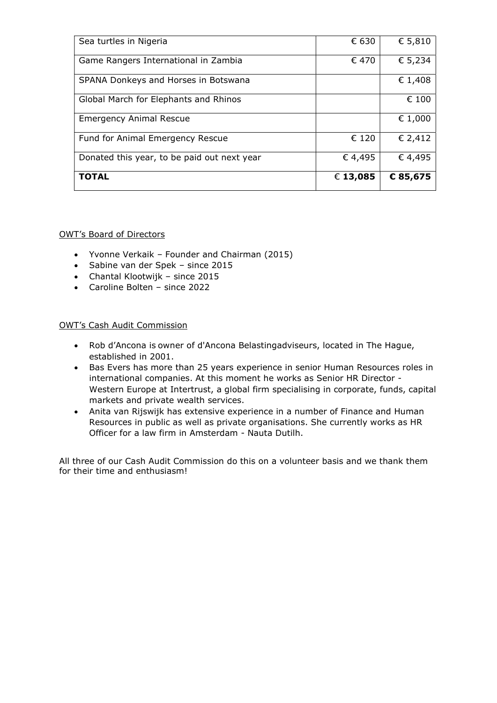| Sea turtles in Nigeria                      | € 630    | € 5,810  |
|---------------------------------------------|----------|----------|
| Game Rangers International in Zambia        | € 470    | € 5,234  |
| SPANA Donkeys and Horses in Botswana        |          | € 1,408  |
| Global March for Elephants and Rhinos       |          | € 100    |
| <b>Emergency Animal Rescue</b>              |          | € 1,000  |
| Fund for Animal Emergency Rescue            | € 120    | € 2,412  |
| Donated this year, to be paid out next year | € 4,495  | €4,495   |
| <b>TOTAL</b>                                | € 13,085 | € 85,675 |

# OWT's Board of Directors

- Yvonne Verkaik Founder and Chairman (2015)
- Sabine van der Spek since 2015
- Chantal Klootwijk since 2015
- Caroline Bolten since 2022

### OWT's Cash Audit Commission

- Rob d'Ancona is owner of d'Ancona Belastingadviseurs, located in The Hague, established in 2001.
- Bas Evers has more than 25 years experience in senior Human Resources roles in international companies. At this moment he works as Senior HR Director - Western Europe at Intertrust, a global firm specialising in corporate, funds, capital markets and private wealth services.
- Anita van Rijswijk has extensive experience in a number of Finance and Human Resources in public as well as private organisations. She currently works as HR Officer for a law firm in Amsterdam - Nauta Dutilh.

All three of our Cash Audit Commission do this on a volunteer basis and we thank them for their time and enthusiasm!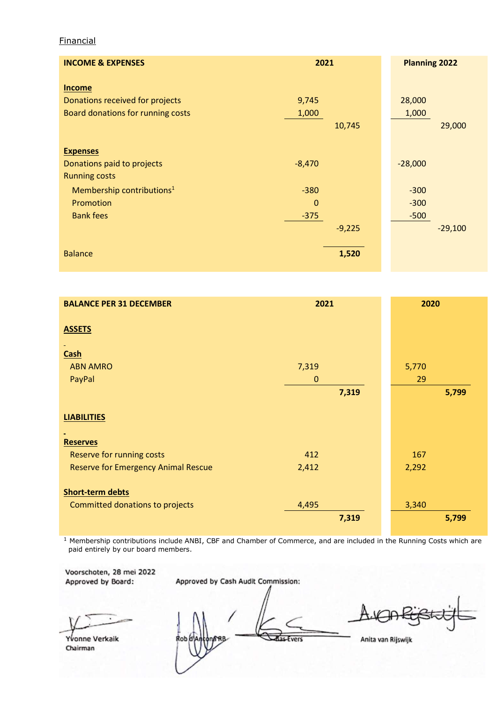### Financial

| <b>INCOME &amp; EXPENSES</b>                                                          | 2021                            | <b>Planning 2022</b>       |
|---------------------------------------------------------------------------------------|---------------------------------|----------------------------|
| <b>Income</b><br>Donations received for projects<br>Board donations for running costs | 9,745<br>1,000<br>10,745        | 28,000<br>1,000<br>29,000  |
| <b>Expenses</b><br>Donations paid to projects<br><b>Running costs</b>                 | $-8,470$                        | $-28,000$                  |
| Membership contributions <sup>1</sup><br>Promotion<br><b>Bank fees</b>                | $-380$<br>$\mathbf 0$<br>$-375$ | $-300$<br>$-300$<br>$-500$ |
| <b>Balance</b>                                                                        | $-9,225$<br>1,520               | $-29,100$                  |

| <b>BALANCE PER 31 DECEMBER</b>             | 2021         | 2020  |
|--------------------------------------------|--------------|-------|
| <b>ASSETS</b>                              |              |       |
| <b>Cash</b>                                |              |       |
| <b>ABN AMRO</b>                            | 7,319        | 5,770 |
| PayPal                                     | $\mathbf{0}$ | 29    |
|                                            | 7,319        | 5,799 |
| <b>LIABILITIES</b>                         |              |       |
| <b>Reserves</b>                            |              |       |
| Reserve for running costs                  | 412          | 167   |
| <b>Reserve for Emergency Animal Rescue</b> | 2,412        | 2,292 |
| <b>Short-term debts</b>                    |              |       |
| Committed donations to projects            | 4,495        | 3,340 |
|                                            | 7,319        | 5,799 |

<sup>1</sup> Membership contributions include ANBI, CBF and Chamber of Commerce, and are included in the Running Costs which are paid entirely by our board members.

Voorschoten, 28 mei 2022 Approved by Board:

Approved by Cash Audit Commission:

Yvonne Verkaik Chairman

Rob d das Evers

Anita van Rijswijk